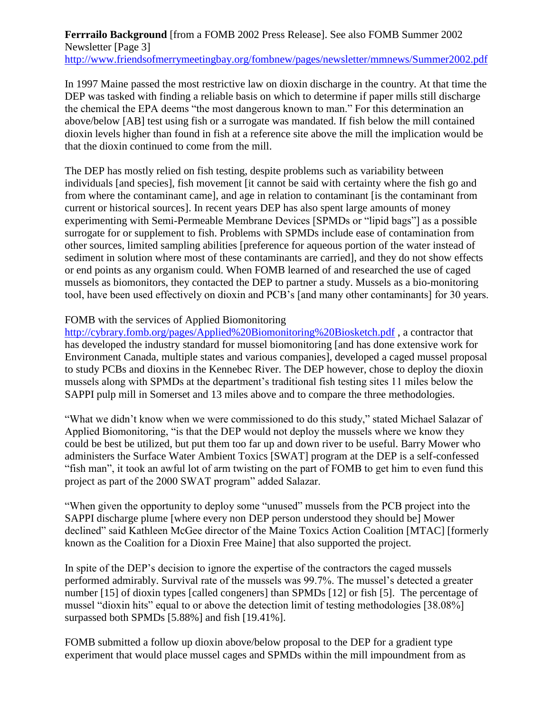**Ferrrailo Background** [from a FOMB 2002 Press Release]. See also FOMB Summer 2002 Newsletter [Page 3] <http://www.friendsofmerrymeetingbay.org/fombnew/pages/newsletter/mmnews/Summer2002.pdf>

In 1997 Maine passed the most restrictive law on dioxin discharge in the country. At that time the DEP was tasked with finding a reliable basis on which to determine if paper mills still discharge the chemical the EPA deems "the most dangerous known to man." For this determination an above/below [AB] test using fish or a surrogate was mandated. If fish below the mill contained dioxin levels higher than found in fish at a reference site above the mill the implication would be that the dioxin continued to come from the mill.

The DEP has mostly relied on fish testing, despite problems such as variability between individuals [and species], fish movement [it cannot be said with certainty where the fish go and from where the contaminant came], and age in relation to contaminant [is the contaminant from current or historical sources]. In recent years DEP has also spent large amounts of money experimenting with Semi-Permeable Membrane Devices [SPMDs or "lipid bags"] as a possible surrogate for or supplement to fish. Problems with SPMDs include ease of contamination from other sources, limited sampling abilities [preference for aqueous portion of the water instead of sediment in solution where most of these contaminants are carried], and they do not show effects or end points as any organism could. When FOMB learned of and researched the use of caged mussels as biomonitors, they contacted the DEP to partner a study. Mussels as a bio-monitoring tool, have been used effectively on dioxin and PCB's [and many other contaminants] for 30 years.

## FOMB with the services of Applied Biomonitoring

<http://cybrary.fomb.org/pages/Applied%20Biomonitoring%20Biosketch.pdf> , a contractor that has developed the industry standard for mussel biomonitoring [and has done extensive work for Environment Canada, multiple states and various companies], developed a caged mussel proposal to study PCBs and dioxins in the Kennebec River. The DEP however, chose to deploy the dioxin mussels along with SPMDs at the department's traditional fish testing sites 11 miles below the SAPPI pulp mill in Somerset and 13 miles above and to compare the three methodologies.

"What we didn't know when we were commissioned to do this study," stated Michael Salazar of Applied Biomonitoring, "is that the DEP would not deploy the mussels where we know they could be best be utilized, but put them too far up and down river to be useful. Barry Mower who administers the Surface Water Ambient Toxics [SWAT] program at the DEP is a self-confessed "fish man", it took an awful lot of arm twisting on the part of FOMB to get him to even fund this project as part of the 2000 SWAT program" added Salazar.

"When given the opportunity to deploy some "unused" mussels from the PCB project into the SAPPI discharge plume [where every non DEP person understood they should be] Mower declined" said Kathleen McGee director of the Maine Toxics Action Coalition [MTAC] [formerly known as the Coalition for a Dioxin Free Maine] that also supported the project.

In spite of the DEP's decision to ignore the expertise of the contractors the caged mussels performed admirably. Survival rate of the mussels was 99.7%. The mussel's detected a greater number [15] of dioxin types [called congeners] than SPMDs [12] or fish [5]. The percentage of mussel "dioxin hits" equal to or above the detection limit of testing methodologies [38.08%] surpassed both SPMDs [5.88%] and fish [19.41%].

FOMB submitted a follow up dioxin above/below proposal to the DEP for a gradient type experiment that would place mussel cages and SPMDs within the mill impoundment from as